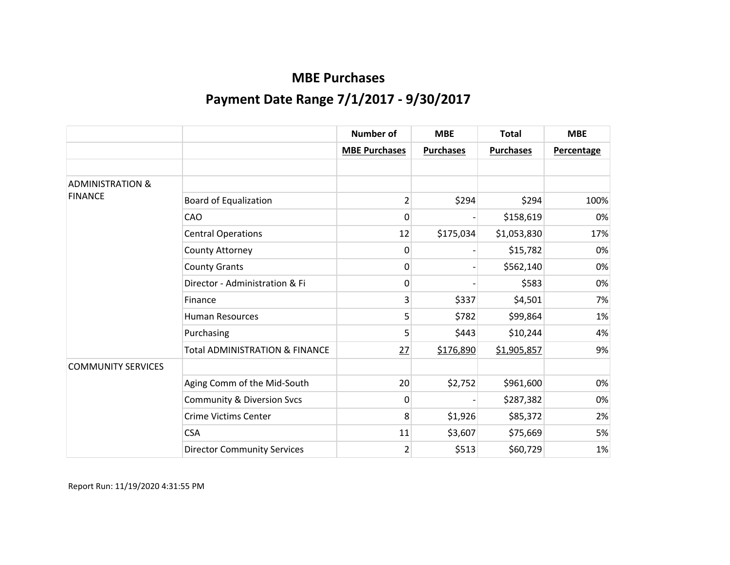|                             |                                           | <b>Number of</b>     | <b>MBE</b>       | <b>Total</b>     | <b>MBE</b>        |
|-----------------------------|-------------------------------------------|----------------------|------------------|------------------|-------------------|
|                             |                                           | <b>MBE Purchases</b> | <b>Purchases</b> | <b>Purchases</b> | <b>Percentage</b> |
|                             |                                           |                      |                  |                  |                   |
| <b>ADMINISTRATION &amp;</b> |                                           |                      |                  |                  |                   |
| <b>FINANCE</b>              | <b>Board of Equalization</b>              | $\overline{2}$       | \$294            | \$294            | 100%              |
|                             | CAO                                       | 0                    |                  | \$158,619        | 0%                |
|                             | <b>Central Operations</b>                 | 12                   | \$175,034        | \$1,053,830      | 17%               |
|                             | County Attorney                           | 0                    |                  | \$15,782         | 0%                |
|                             | <b>County Grants</b>                      | 0                    |                  | \$562,140        | 0%                |
|                             | Director - Administration & Fi            | 0                    |                  | \$583            | 0%                |
|                             | Finance                                   | 3                    | \$337            | \$4,501          | 7%                |
|                             | <b>Human Resources</b>                    | 5                    | \$782            | \$99,864         | 1%                |
|                             | Purchasing                                | 5                    | \$443            | \$10,244         | 4%                |
|                             | <b>Total ADMINISTRATION &amp; FINANCE</b> | 27                   | \$176,890        | \$1,905,857      | 9%                |
| <b>COMMUNITY SERVICES</b>   |                                           |                      |                  |                  |                   |
|                             | Aging Comm of the Mid-South               | 20 <sup>°</sup>      | \$2,752          | \$961,600        | 0%                |
|                             | <b>Community &amp; Diversion Svcs</b>     | 0                    |                  | \$287,382        | 0%                |
|                             | <b>Crime Victims Center</b>               | 8                    | \$1,926          | \$85,372         | 2%                |
|                             | <b>CSA</b>                                | 11                   | \$3,607          | \$75,669         | 5%                |
|                             | <b>Director Community Services</b>        | $\overline{2}$       | \$513            | \$60,729         | 1%                |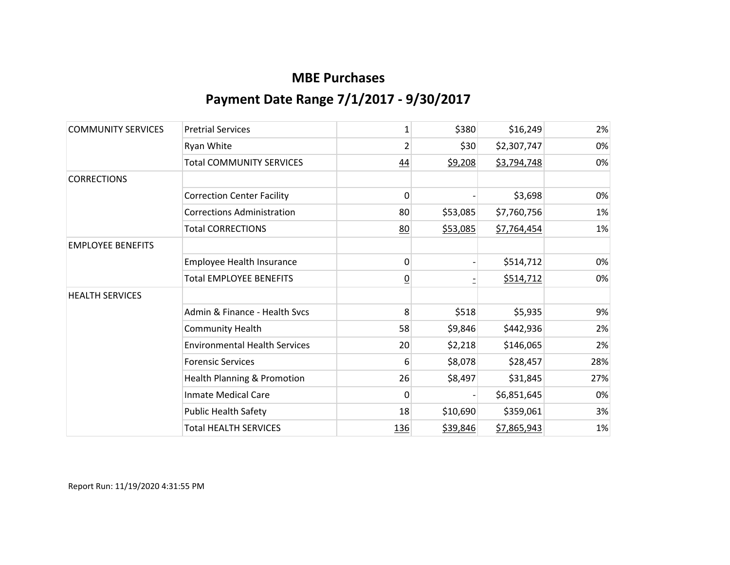| <b>COMMUNITY SERVICES</b> | <b>Pretrial Services</b>             | 1              | \$380    | \$16,249    | 2%  |
|---------------------------|--------------------------------------|----------------|----------|-------------|-----|
|                           | Ryan White                           | $\overline{2}$ | \$30     | \$2,307,747 | 0%  |
|                           | <b>Total COMMUNITY SERVICES</b>      | 44             | \$9,208  | \$3,794,748 | 0%  |
| <b>CORRECTIONS</b>        |                                      |                |          |             |     |
|                           | <b>Correction Center Facility</b>    | 0              |          | \$3,698     | 0%  |
|                           | <b>Corrections Administration</b>    | 80             | \$53,085 | \$7,760,756 | 1%  |
|                           | <b>Total CORRECTIONS</b>             | 80             | \$53,085 | \$7,764,454 | 1%  |
| <b>EMPLOYEE BENEFITS</b>  |                                      |                |          |             |     |
|                           | Employee Health Insurance            | 0              |          | \$514,712   | 0%  |
|                           | <b>Total EMPLOYEE BENEFITS</b>       | <u>0</u>       |          | \$514,712   | 0%  |
| <b>HEALTH SERVICES</b>    |                                      |                |          |             |     |
|                           | Admin & Finance - Health Svcs        | 8              | \$518    | \$5,935     | 9%  |
|                           | <b>Community Health</b>              | 58             | \$9,846  | \$442,936   | 2%  |
|                           | <b>Environmental Health Services</b> | 20             | \$2,218  | \$146,065   | 2%  |
|                           | <b>Forensic Services</b>             | 6              | \$8,078  | \$28,457    | 28% |
|                           | Health Planning & Promotion          | 26             | \$8,497  | \$31,845    | 27% |
|                           | <b>Inmate Medical Care</b>           | 0              |          | \$6,851,645 | 0%  |
|                           | <b>Public Health Safety</b>          | 18             | \$10,690 | \$359,061   | 3%  |
|                           | <b>Total HEALTH SERVICES</b>         | 136            | \$39,846 | \$7,865,943 | 1%  |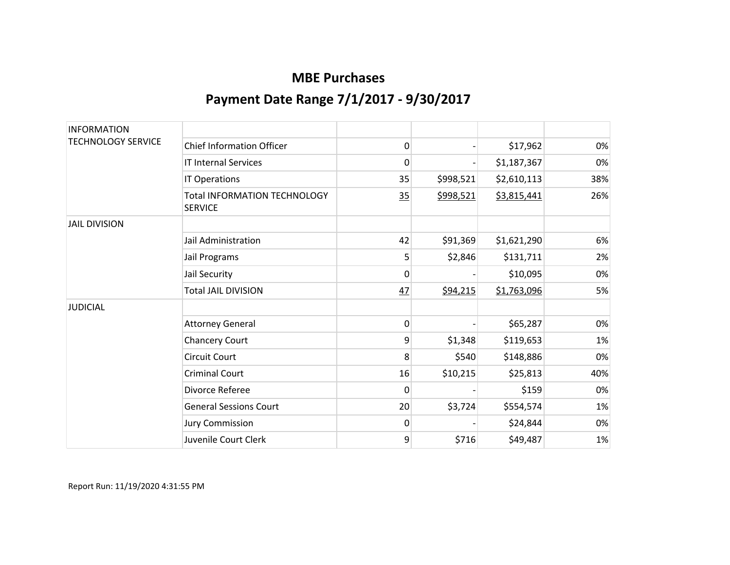| <b>INFORMATION</b><br><b>TECHNOLOGY SERVICE</b> |                                                       |    |           |             |     |
|-------------------------------------------------|-------------------------------------------------------|----|-----------|-------------|-----|
|                                                 | <b>Chief Information Officer</b>                      | 0  |           | \$17,962    | 0%  |
|                                                 | <b>IT Internal Services</b>                           | 0  |           | \$1,187,367 | 0%  |
|                                                 | IT Operations                                         | 35 | \$998,521 | \$2,610,113 | 38% |
|                                                 | <b>Total INFORMATION TECHNOLOGY</b><br><b>SERVICE</b> | 35 | \$998,521 | \$3,815,441 | 26% |
| <b>JAIL DIVISION</b>                            |                                                       |    |           |             |     |
|                                                 | Jail Administration                                   | 42 | \$91,369  | \$1,621,290 | 6%  |
|                                                 | Jail Programs                                         | 5  | \$2,846   | \$131,711   | 2%  |
|                                                 | Jail Security                                         | 0  |           | \$10,095    | 0%  |
|                                                 | <b>Total JAIL DIVISION</b>                            | 47 | \$94,215  | \$1,763,096 | 5%  |
| <b>JUDICIAL</b>                                 |                                                       |    |           |             |     |
|                                                 | <b>Attorney General</b>                               | 0  |           | \$65,287    | 0%  |
|                                                 | <b>Chancery Court</b>                                 | 9  | \$1,348   | \$119,653   | 1%  |
|                                                 | <b>Circuit Court</b>                                  | 8  | \$540     | \$148,886   | 0%  |
|                                                 | <b>Criminal Court</b>                                 | 16 | \$10,215  | \$25,813    | 40% |
|                                                 | Divorce Referee                                       | 0  |           | \$159       | 0%  |
|                                                 | <b>General Sessions Court</b>                         | 20 | \$3,724   | \$554,574   | 1%  |
|                                                 | <b>Jury Commission</b>                                | 0  |           | \$24,844    | 0%  |
|                                                 | Juvenile Court Clerk                                  | 9  | \$716     | \$49,487    | 1%  |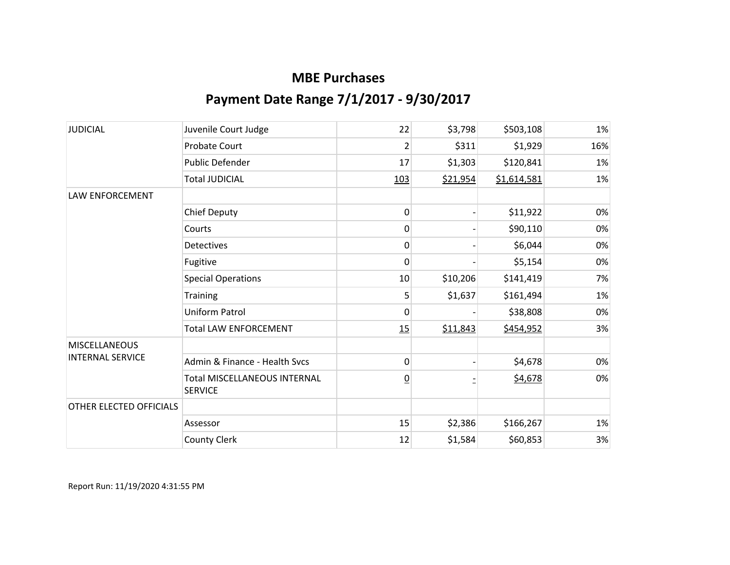| <b>JUDICIAL</b>                                 | Juvenile Court Judge                                  | 22              | \$3,798  | \$503,108   | 1%  |
|-------------------------------------------------|-------------------------------------------------------|-----------------|----------|-------------|-----|
|                                                 | <b>Probate Court</b>                                  | $\overline{2}$  | \$311    | \$1,929     | 16% |
|                                                 | Public Defender                                       | 17              | \$1,303  | \$120,841   | 1%  |
|                                                 | <b>Total JUDICIAL</b>                                 | 103             | \$21,954 | \$1,614,581 | 1%  |
| <b>LAW ENFORCEMENT</b>                          |                                                       |                 |          |             |     |
|                                                 | <b>Chief Deputy</b>                                   | 0               |          | \$11,922    | 0%  |
|                                                 | Courts                                                | 0               |          | \$90,110    | 0%  |
|                                                 | <b>Detectives</b>                                     | 0               |          | \$6,044     | 0%  |
|                                                 | Fugitive                                              | 0               |          | \$5,154     | 0%  |
|                                                 | <b>Special Operations</b>                             | 10 <sup>1</sup> | \$10,206 | \$141,419   | 7%  |
|                                                 | Training                                              | 5               | \$1,637  | \$161,494   | 1%  |
|                                                 | Uniform Patrol                                        | 0               |          | \$38,808    | 0%  |
|                                                 | <b>Total LAW ENFORCEMENT</b>                          | 15              | \$11,843 | \$454,952   | 3%  |
| <b>MISCELLANEOUS</b><br><b>INTERNAL SERVICE</b> |                                                       |                 |          |             |     |
|                                                 | Admin & Finance - Health Sycs                         | 0               |          | \$4,678     | 0%  |
|                                                 | <b>Total MISCELLANEOUS INTERNAL</b><br><b>SERVICE</b> | $\overline{0}$  |          | \$4,678     | 0%  |
| OTHER ELECTED OFFICIALS                         |                                                       |                 |          |             |     |
|                                                 | Assessor                                              | 15              | \$2,386  | \$166,267   | 1%  |
|                                                 | <b>County Clerk</b>                                   | 12              | \$1,584  | \$60,853    | 3%  |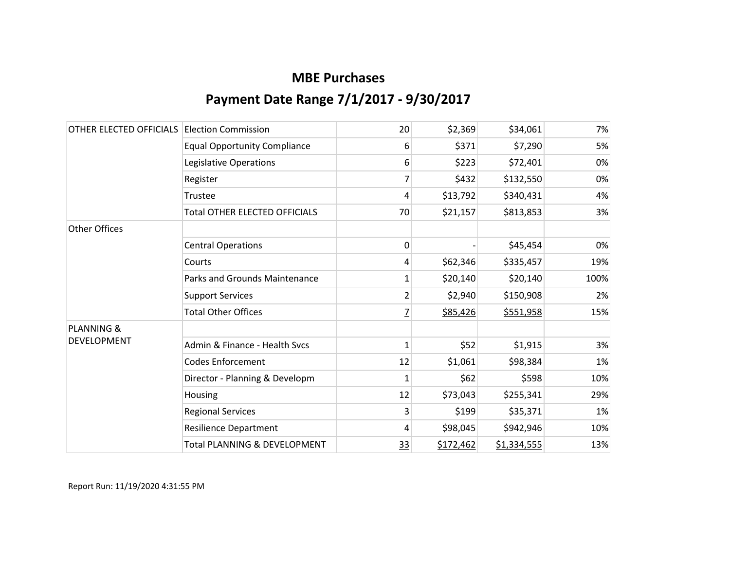| OTHER ELECTED OFFICIALS | <b>Election Commission</b>              | 20              | \$2,369   | \$34,061    | 7%   |
|-------------------------|-----------------------------------------|-----------------|-----------|-------------|------|
|                         | <b>Equal Opportunity Compliance</b>     | 6               | \$371     | \$7,290     | 5%   |
|                         | Legislative Operations                  | 6               | \$223     | \$72,401    | 0%   |
|                         | Register                                | 7               | \$432     | \$132,550   | 0%   |
|                         | Trustee                                 | 4               | \$13,792  | \$340,431   | 4%   |
|                         | <b>Total OTHER ELECTED OFFICIALS</b>    | $\overline{20}$ | \$21,157  | \$813,853   | 3%   |
| <b>Other Offices</b>    |                                         |                 |           |             |      |
|                         | <b>Central Operations</b>               | 0               |           | \$45,454    | 0%   |
|                         | Courts                                  | 4               | \$62,346  | \$335,457   | 19%  |
|                         | <b>Parks and Grounds Maintenance</b>    | 1               | \$20,140  | \$20,140    | 100% |
|                         | <b>Support Services</b>                 | $\overline{2}$  | \$2,940   | \$150,908   | 2%   |
|                         | <b>Total Other Offices</b>              | 7               | \$85,426  | \$551,958   | 15%  |
| <b>PLANNING &amp;</b>   |                                         |                 |           |             |      |
| <b>DEVELOPMENT</b>      | Admin & Finance - Health Svcs           | $\mathbf{1}$    | \$52      | \$1,915     | 3%   |
|                         | <b>Codes Enforcement</b>                | 12              | \$1,061   | \$98,384    | 1%   |
|                         | Director - Planning & Developm          | $\mathbf{1}$    | \$62      | \$598       | 10%  |
|                         | Housing                                 | 12              | \$73,043  | \$255,341   | 29%  |
|                         | <b>Regional Services</b>                | 3               | \$199     | \$35,371    | 1%   |
|                         | <b>Resilience Department</b>            | 4               | \$98,045  | \$942,946   | 10%  |
|                         | <b>Total PLANNING &amp; DEVELOPMENT</b> | <u>33</u>       | \$172,462 | \$1,334,555 | 13%  |